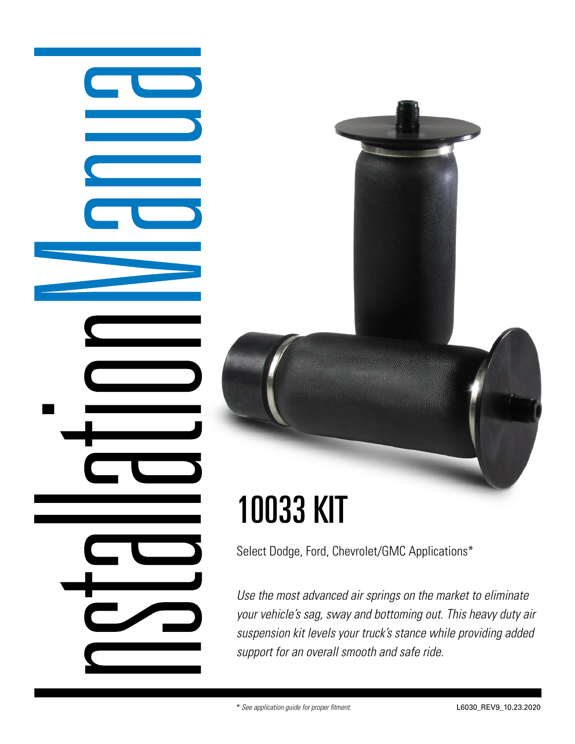# Select Dodge, Ford, Chevrolet/GMC Applications\*

10033 KIT

*Use the most advanced air springs on the market to eliminate your vehicle's sag, sway and bottoming out. This heavy duty air suspension kit levels your truck's stance while providing added support for an overall smooth and safe ride.*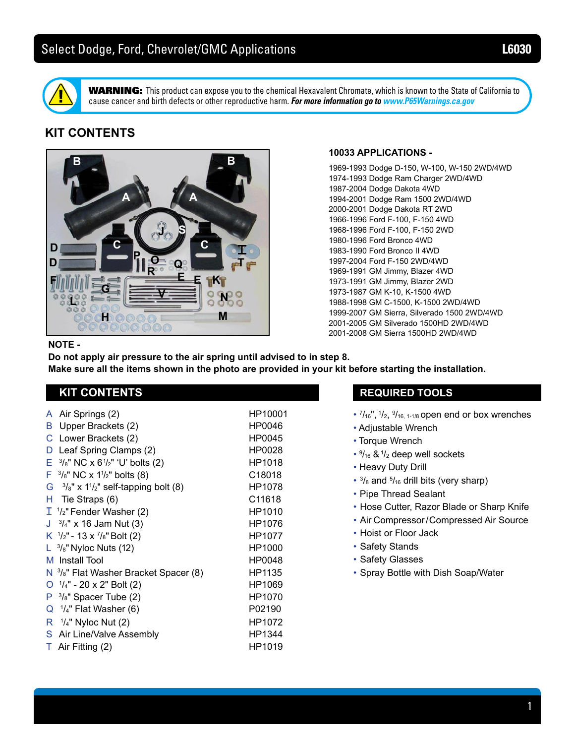

WARNING: This product can expose you to the chemical Hexavalent Chromate, which is known to the State of California to cause cancer and birth defects or other reproductive harm. *For more information go to www.P65Warnings.ca.gov*

# **KIT CONTENTS**



## **10033 APPLICATIONS -**

1969-1993 Dodge D-150, W-100, W-150 2WD/4WD 1974-1993 Dodge Ram Charger 2WD/4WD 1987-2004 Dodge Dakota 4WD 1994-2001 Dodge Ram 1500 2WD/4WD 2000-2001 Dodge Dakota RT 2WD 1966-1996 Ford F-100, F-150 4WD 1968-1996 Ford F-100, F-150 2WD 1980-1996 Ford Bronco 4WD 1983-1990 Ford Bronco II 4WD 1997-2004 Ford F-150 2WD/4WD 1969-1991 GM Jimmy, Blazer 4WD 1973-1991 GM Jimmy, Blazer 2WD 1973-1987 GM K-10, K-1500 4WD 1988-1998 GM C-1500, K-1500 2WD/4WD 1999-2007 GM Sierra, Silverado 1500 2WD/4WD 2001-2005 GM Silverado 1500HD 2WD/4WD 2001-2008 GM Sierra 1500HD 2WD/4WD

### **NOTE -**

**Do not apply air pressure to the air spring until advised to in step 8. Make sure all the items shown in the photo are provided in your kit before starting the installation.**

# **KIT CONTENTS**

A Air Springs (2) HP10001 B Upper Brackets (2) HP0046 C Lower Brackets (2) HP0045 D Leaf Spring Clamps (2) HP0028  $E^{-3}/_8$ " NC x 61/ $_2$ " 'U' bolts (2) HP1018  $F^{-3}/s$ " NC x 1<sup>1</sup>/<sub>2</sub>" bolts (8) C18018 G  $3\frac{1}{2}$ " x 1<sup>1</sup>/<sub>2</sub>" self-tapping bolt (8) HP1078 H Tie Straps (6) C11618  $\mathbb{I}$   $^1\mathstrut /_2$ " Fender Washer (2)  $\hspace{1cm}$  HP1010 J  $3/4$ " x 16 Jam Nut (3) HP1076 K  $\frac{1}{2}$ " - 13 x  $\frac{7}{8}$ "Bolt (2) HP1077  $\mathsf{L}^{-3}/\mathsf{s}$ " Nyloc Nuts (12) and the control of HP1000  $\blacksquare$ M Install Tool New York 1980 HP0048 N 3/<sub>8</sub>" Flat Washer Bracket Spacer (8) HP1135 O  $\frac{1}{4}$ " - 20 x 2" Bolt (2) HP1069 P 3/<sub>8</sub>" Spacer Tube (2) HP1070 Q 1 /4" Flat Washer (6) P02190  R <sup>1</sup>/<sub>4</sub>" Nyloc Nut (2) HP1072 S Air Line/Valve Assembly HP1344 T Air Fitting (2) HP1019

# **REQUIRED TOOLS**

- $\frac{7}{16}$ ",  $\frac{1}{2}$ ,  $\frac{9}{16}$ , 1-1/8 open end or box wrenches
- Adjustable Wrench
- Torque Wrench
- $\cdot$   $\frac{9}{16}$  &  $\frac{1}{2}$  deep well sockets
- Heavy Duty Drill
- $\cdot$   $\frac{3}{8}$  and  $\frac{5}{16}$  drill bits (very sharp)
- Pipe Thread Sealant
- Hose Cutter, Razor Blade or Sharp Knife
- Air Compressor/Compressed Air Source
- Hoist or Floor Jack
- Safety Stands
- Safety Glasses
- Spray Bottle with Dish Soap/Water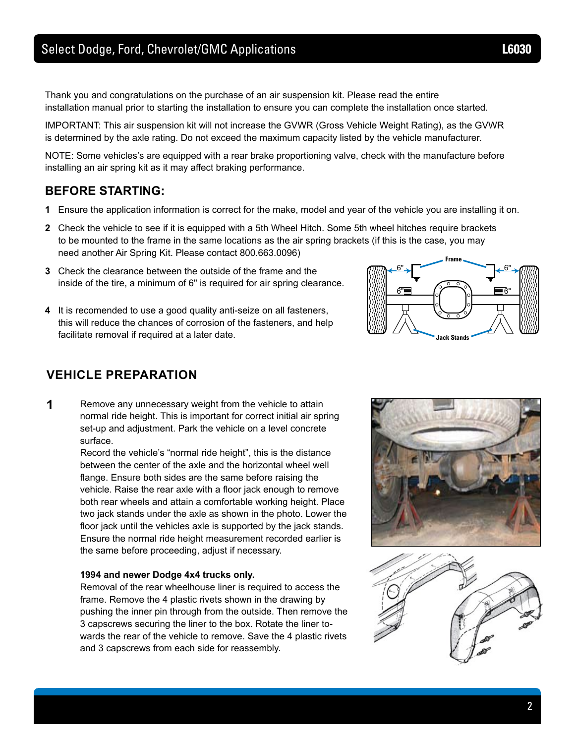Thank you and congratulations on the purchase of an air suspension kit. Please read the entire installation manual prior to starting the installation to ensure you can complete the installation once started.

IMPORTANT: This air suspension kit will not increase the GVWR (Gross Vehicle Weight Rating), as the GVWR is determined by the axle rating. Do not exceed the maximum capacity listed by the vehicle manufacturer.

NOTE: Some vehicles's are equipped with a rear brake proportioning valve, check with the manufacture before installing an air spring kit as it may affect braking performance.

# **BEFORE STARTING:**

- **1** Ensure the application information is correct for the make, model and year of the vehicle you are installing it on.
- **2** Check the vehicle to see if it is equipped with a 5th Wheel Hitch. Some 5th wheel hitches require brackets to be mounted to the frame in the same locations as the air spring brackets (if this is the case, you may need another Air Spring Kit. Please contact 800.663.0096)
- **3** Check the clearance between the outside of the frame and the inside of the tire, a minimum of 6" is required for air spring clearance.
- **4** It is recomended to use a good quality anti-seize on all fasteners, this will reduce the chances of corrosion of the fasteners, and help facilitate removal if required at a later date.



# **VEHICLE PREPARATION**

**1** Remove any unnecessary weight from the vehicle to attain normal ride height. This is important for correct initial air spring set-up and adjustment. Park the vehicle on a level concrete surface.

> Record the vehicle's "normal ride height", this is the distance between the center of the axle and the horizontal wheel well flange. Ensure both sides are the same before raising the vehicle. Raise the rear axle with a floor jack enough to remove both rear wheels and attain a comfortable working height. Place two jack stands under the axle as shown in the photo. Lower the floor jack until the vehicles axle is supported by the jack stands. Ensure the normal ride height measurement recorded earlier is the same before proceeding, adjust if necessary.

### **1994 and newer Dodge 4x4 trucks only.**

 Removal of the rear wheelhouse liner is required to access the frame. Remove the 4 plastic rivets shown in the drawing by pushing the inner pin through from the outside. Then remove the 3 capscrews securing the liner to the box. Rotate the liner to wards the rear of the vehicle to remove. Save the 4 plastic rivets and 3 capscrews from each side for reassembly.



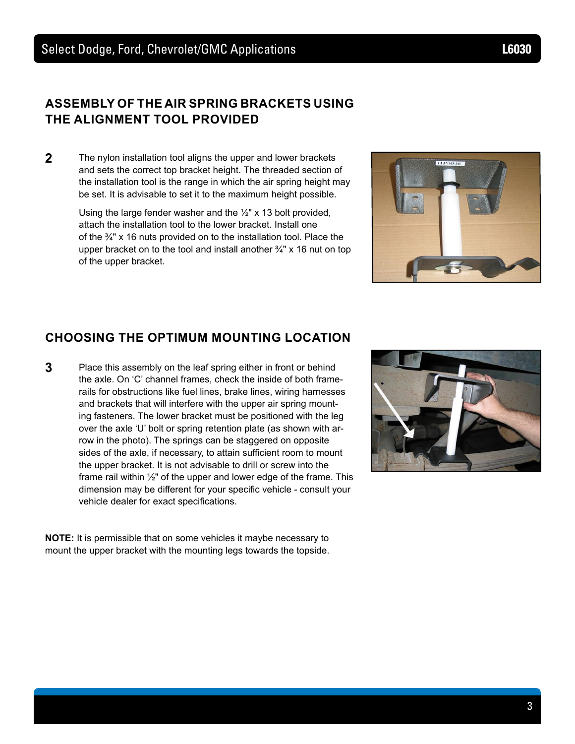# **ASSEMBLY OF THE AIR SPRING BRACKETS USING THE ALIGNMENT TOOL PROVIDED**

**2** The nylon installation tool aligns the upper and lower brackets and sets the correct top bracket height. The threaded section of the installation tool is the range in which the air spring height may be set. It is advisable to set it to the maximum height possible.

> Using the large fender washer and the ½" x 13 bolt provided, attach the installation tool to the lower bracket. Install one of the ¾" x 16 nuts provided on to the installation tool. Place the upper bracket on to the tool and install another  $\frac{3}{4}$ " x 16 nut on top of the upper bracket.

# **CHOOSING THE OPTIMUM MOUNTING LOCATION**

**3** Place this assembly on the leaf spring either in front or behind the axle. On 'C' channel frames, check the inside of both framerails for obstructions like fuel lines, brake lines, wiring harnesses and brackets that will interfere with the upper air spring mounting fasteners. The lower bracket must be positioned with the leg over the axle 'U' bolt or spring retention plate (as shown with arrow in the photo). The springs can be staggered on opposite sides of the axle, if necessary, to attain sufficient room to mount the upper bracket. It is not advisable to drill or screw into the frame rail within ½" of the upper and lower edge of the frame. This dimension may be different for your specific vehicle - consult your vehicle dealer for exact specifications.

**NOTE:** It is permissible that on some vehicles it maybe necessary to mount the upper bracket with the mounting legs towards the topside.



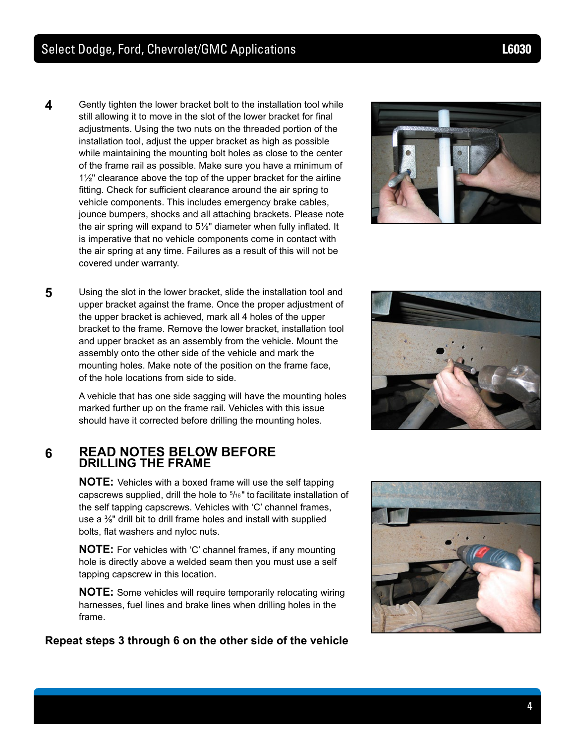- **4** Gently tighten the lower bracket bolt to the installation tool while still allowing it to move in the slot of the lower bracket for final adjustments. Using the two nuts on the threaded portion of the installation tool, adjust the upper bracket as high as possible while maintaining the mounting bolt holes as close to the center of the frame rail as possible. Make sure you have a minimum of  $1\frac{1}{2}$ " clearance above the top of the upper bracket for the airline fitting. Check for sufficient clearance around the air spring to vehicle components. This includes emergency brake cables, jounce bumpers, shocks and all attaching brackets. Please note the air spring will expand to 5⅛" diameter when fully inflated. It is imperative that no vehicle components come in contact with the air spring at any time. Failures as a result of this will not be covered under warranty.
- **5** Using the slot in the lower bracket, slide the installation tool and upper bracket against the frame. Once the proper adjustment of the upper bracket is achieved, mark all 4 holes of the upper bracket to the frame. Remove the lower bracket, installation tool and upper bracket as an assembly from the vehicle. Mount the assembly onto the other side of the vehicle and mark the mounting holes. Make note of the position on the frame face, of the hole locations from side to side.

A vehicle that has one side sagging will have the mounting holes marked further up on the frame rail. Vehicles with this issue should have it corrected before drilling the mounting holes.

# **6 READ NOTES BELOW BEFORE DRILLING THE FRAME**

**NOTE:** Vehicles with a boxed frame will use the self tapping capscrews supplied, drill the hole to 5 /16" to facilitate installation of the self tapping capscrews. Vehicles with 'C' channel frames, use a ⅜" drill bit to drill frame holes and install with supplied bolts, flat washers and nyloc nuts.

**NOTE:** For vehicles with 'C' channel frames, if any mounting hole is directly above a welded seam then you must use a self tapping capscrew in this location.

**NOTE:** Some vehicles will require temporarily relocating wiring harnesses, fuel lines and brake lines when drilling holes in the frame.

**Repeat steps 3 through 6 on the other side of the vehicle**







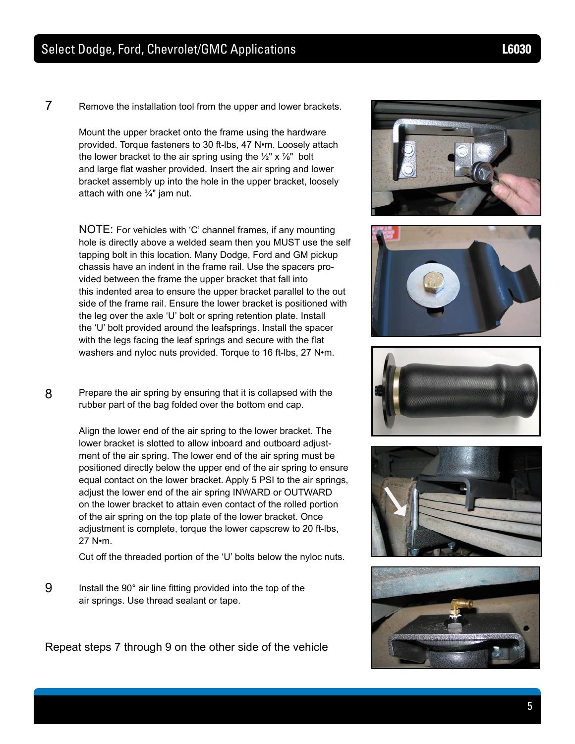7 Remove the installation tool from the upper and lower brackets.

Mount the upper bracket onto the frame using the hardware provided. Torque fasteners to 30 ft-lbs, 47 N•m. Loosely attach the lower bracket to the air spring using the  $\frac{1}{2}$ " x  $\frac{7}{8}$ " bolt and large flat washer provided. Insert the air spring and lower bracket assembly up into the hole in the upper bracket, loosely attach with one ¾" jam nut.

NOTE: For vehicles with 'C' channel frames, if any mounting hole is directly above a welded seam then you MUST use the self tapping bolt in this location. Many Dodge, Ford and GM pickup chassis have an indent in the frame rail. Use the spacers provided between the frame the upper bracket that fall into this indented area to ensure the upper bracket parallel to the out side of the frame rail. Ensure the lower bracket is positioned with the leg over the axle 'U' bolt or spring retention plate. Install the 'U' bolt provided around the leafsprings. Install the spacer with the legs facing the leaf springs and secure with the flat washers and nyloc nuts provided. Torque to 16 ft-lbs, 27 N•m.

8 Prepare the air spring by ensuring that it is collapsed with the rubber part of the bag folded over the bottom end cap.

> Align the lower end of the air spring to the lower bracket. The lower bracket is slotted to allow inboard and outboard adjustment of the air spring. The lower end of the air spring must be positioned directly below the upper end of the air spring to ensure equal contact on the lower bracket. Apply 5 PSI to the air springs, adjust the lower end of the air spring INWARD or OUTWARD on the lower bracket to attain even contact of the rolled portion of the air spring on the top plate of the lower bracket. Once adjustment is complete, torque the lower capscrew to 20 ft-lbs, 27 N•m.

Cut off the threaded portion of the 'U' bolts below the nyloc nuts.

9 Install the 90° air line fitting provided into the top of the air springs. Use thread sealant or tape.

Repeat steps 7 through 9 on the other side of the vehicle









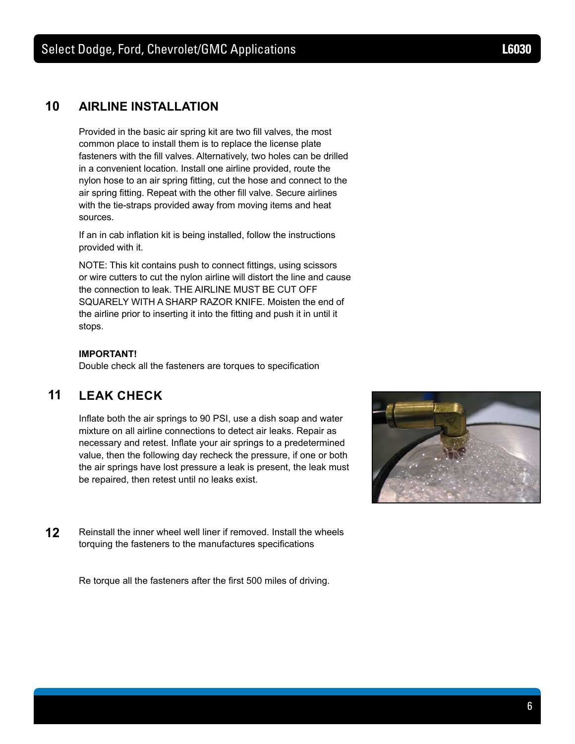# **10 AIRLINE INSTALLATION**

 Provided in the basic air spring kit are two fill valves, the most common place to install them is to replace the license plate fasteners with the fill valves. Alternatively, two holes can be drilled in a convenient location. Install one airline provided, route the nylon hose to an air spring fitting, cut the hose and connect to the air spring fitting. Repeat with the other fill valve. Secure airlines with the tie-straps provided away from moving items and heat sources.

 If an in cab inflation kit is being installed, follow the instructions provided with it.

 NOTE: This kit contains push to connect fittings, using scissors or wire cutters to cut the nylon airline will distort the line and cause the connection to leak. THE AIRLINE MUST BE CUT OFF SQUARELY WITH A SHARP RAZOR KNIFE. Moisten the end of the airline prior to inserting it into the fitting and push it in until it stops.

### **IMPORTANT!**

 Double check all the fasteners are torques to specification

# **11 LEAK CHECK**

 Inflate both the air springs to 90 PSI, use a dish soap and water mixture on all airline connections to detect air leaks. Repair as necessary and retest. Inflate your air springs to a predetermined value, then the following day recheck the pressure, if one or both the air springs have lost pressure a leak is present, the leak must be repaired, then retest until no leaks exist.



**12** Reinstall the inner wheel well liner if removed. Install the wheels torquing the fasteners to the manufactures specifications

 Re torque all the fasteners after the first 500 miles of driving.